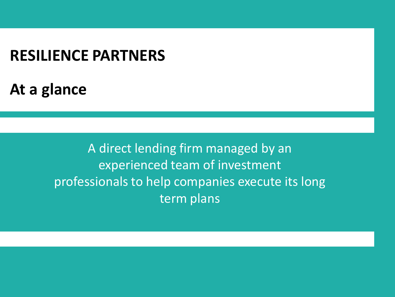# **RESILIENCE PARTNERS**

**At a glance** 

A direct lending firm managed by an experienced team of investment professionals to help companies execute its long term plans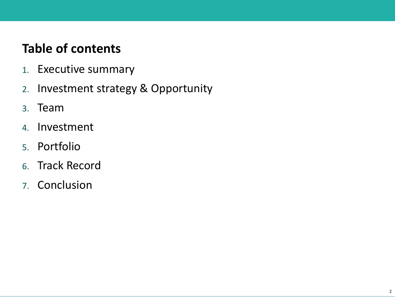# **Table of contents**

- 1. Executive summary
- 2. Investment strategy & Opportunity
- 3. Team
- 4. Investment
- 5. Portfolio
- 6. Track Record
- 7. Conclusion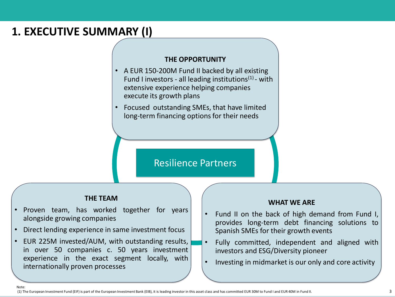# **1. EXECUTIVE SUMMARY (I)**

#### **THE OPPORTUNITY**

- A EUR 150-200M Fund II backed by all existing Fund I investors - all leading institutions $(1)$ - with extensive experience helping companies execute its growth plans
- Focused outstanding SMEs, that have limited long-term financing options for their needs

#### Resilience Partners

#### **THE TEAM**

- Proven team, has worked together for years alongside growing companies
- Direct lending experience in same investment focus
- EUR 225M invested/AUM, with outstanding results, in over 50 companies c. 50 years investment experience in the exact segment locally, with internationally proven processes

Note:

#### **WHAT WE ARE**

- Fund II on the back of high demand from Fund I, provides long-term debt financing solutions to Spanish SMEs for their growth events
- Fully committed, independent and aligned with investors and ESG/Diversity pioneer
- Investing in midmarket is our only and core activity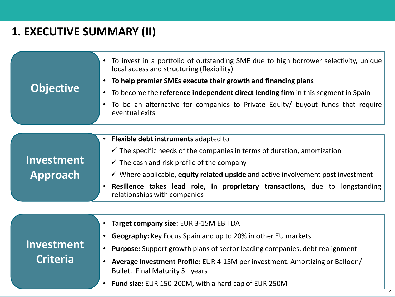# **1. EXECUTIVE SUMMARY (II)**

**Criteria**

| <b>Objective</b>       | To invest in a portfolio of outstanding SME due to high borrower selectivity, unique<br>local access and structuring (flexibility)<br>To help premier SMEs execute their growth and financing plans<br>To become the reference independent direct lending firm in this segment in Spain<br>$\bullet$<br>To be an alternative for companies to Private Equity/ buyout funds that require<br>eventual exits  |
|------------------------|------------------------------------------------------------------------------------------------------------------------------------------------------------------------------------------------------------------------------------------------------------------------------------------------------------------------------------------------------------------------------------------------------------|
| Investment<br>Approach | Flexible debt instruments adapted to<br>$\checkmark$ The specific needs of the companies in terms of duration, amortization<br>$\checkmark$ The cash and risk profile of the company<br>$\checkmark$ Where applicable, equity related upside and active involvement post investment<br><b>Resilience takes lead role, in proprietary transactions,</b> due to longstanding<br>relationships with companies |
| Investment             | <b>Target company size: EUR 3-15M EBITDA</b><br><b>Geography:</b> Key Focus Spain and up to 20% in other EU markets<br><b>Purpose:</b> Support growth plans of sector leading companies, debt realignment                                                                                                                                                                                                  |

- **Average Investment Profile:** EUR 4-15M per investment. Amortizing or Balloon/ Bullet. Final Maturity 5+ years
- **Fund size:** EUR 150-200M, with a hard cap of EUR 250M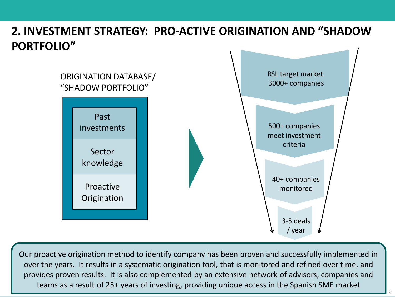## **2. INVESTMENT STRATEGY: PRO-ACTIVE ORIGINATION AND "SHADOW PORTFOLIO"**



Our proactive origination method to identify company has been proven and successfully implemented in over the years. It results in a systematic origination tool, that is monitored and refined over time, and provides proven results. It is also complemented by an extensive network of advisors, companies and teams as a result of 25+ years of investing, providing unique access in the Spanish SME market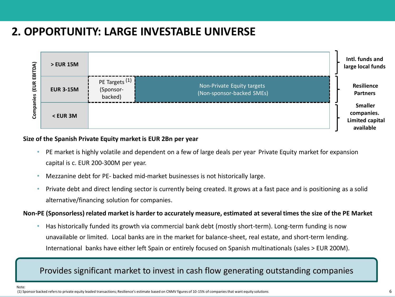## **2. OPPORTUNITY: LARGE INVESTABLE UNIVERSE**



#### **Size of the Spanish Private Equity market is EUR 2Bn per year**

- PE market is highly volatile and dependent on a few of large deals per year. Private Equity market for expansion capital is c. EUR 200-300M per year.
- Mezzanine debt for PE- backed mid-market businesses is not historically large.
- Private debt and direct lending sector is currently being created. It grows at a fast pace and is positioning as a solid alternative/financing solution for companies.

#### **Non-PE (Sponsorless) related market is harder to accurately measure, estimated at several times the size of the PE Market**

• Has historically funded its growth via commercial bank debt (mostly short-term). Long-term funding is now unavailable or limited. Local banks are in the market for balance-sheet, real estate, and short-term lending. International banks have either left Spain or entirely focused on Spanish multinationals (sales > EUR 200M).

### Provides significant market to invest in cash flow generating outstanding companies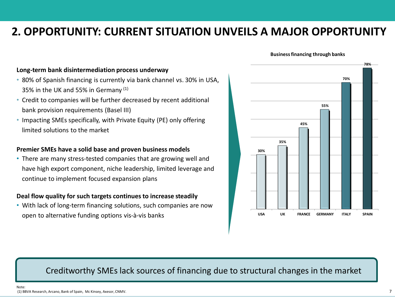### **2. OPPORTUNITY: CURRENT SITUATION UNVEILS A MAJOR OPPORTUNITY**

#### **Long-term bank disintermediation process underway**

- 80% of Spanish financing is currently via bank channel vs. 30% in USA, 35% in the UK and 55% in Germany (1)
- Credit to companies will be further decreased by recent additional bank provision requirements (Basel III)
- Impacting SMEs specifically, with Private Equity (PE) only offering limited solutions to the market

#### **Premier SMEs have a solid base and proven business models**

• There are many stress-tested companies that are growing well and have high export component, niche leadership, limited leverage and continue to implement focused expansion plans

#### **Deal flow quality for such targets continues to increase steadily**

• With lack of long-term financing solutions, such companies are now open to alternative funding options vis-à-vis banks



#### Creditworthy SMEs lack sources of financing due to structural changes in the market

(1) BBVA Research, Arcano, Bank of Spain, Mc Kinsey, Axesor, CNMV.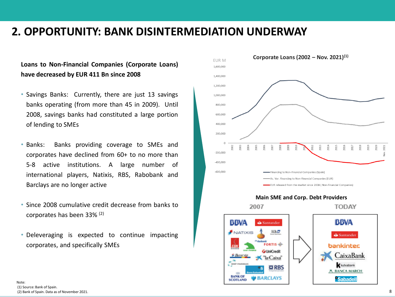### **2. OPPORTUNITY: BANK DISINTERMEDIATION UNDERWAY**

#### **Loans to Non-Financial Companies (Corporate Loans) have decreased by EUR 411 Bn since 2008**

- Savings Banks: Currently, there are just 13 savings banks operating (from more than 45 in 2009). Until 2008, savings banks had constituted a large portion of lending to SMEs
- Banks: Banks providing coverage to SMEs and corporates have declined from 60+ to no more than 5-8 active institutions. A large number of international players, Natixis, RBS, Rabobank and Barclays are no longer active
- Since 2008 cumulative credit decrease from banks to corporates has been 33% (2)
- Deleveraging is expected to continue impacting corporates, and specifically SMEs



BARCLAYS

**SCOTLAND** 

*<b>Sabadell*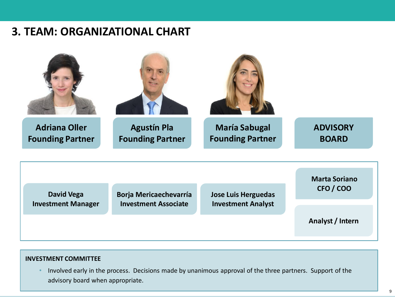### **3. TEAM: ORGANIZATIONAL CHART**



#### **INVESTMENT COMMITTEE**

• Involved early in the process. Decisions made by unanimous approval of the three partners. Support of the advisory board when appropriate.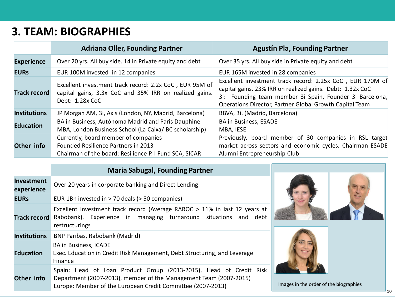## **3. TEAM: BIOGRAPHIES**

|                     | <b>Adriana Oller, Founding Partner</b>                                                                                                       | <b>Agustín Pla, Founding Partner</b>                                                                                                                                                                                                          |  |
|---------------------|----------------------------------------------------------------------------------------------------------------------------------------------|-----------------------------------------------------------------------------------------------------------------------------------------------------------------------------------------------------------------------------------------------|--|
| <b>Experience</b>   | Over 20 yrs. All buy side. 14 in Private equity and debt                                                                                     | Over 35 yrs. All buy side in Private equity and debt                                                                                                                                                                                          |  |
| <b>EURs</b>         | EUR 100M invested in 12 companies                                                                                                            | EUR 165M invested in 28 companies                                                                                                                                                                                                             |  |
| <b>Track record</b> | Excellent investment track record: 2.2x CoC, EUR 95M of<br>capital gains, 3.3x CoC and 35% IRR on realized gains.<br>Debt: 1.28x CoC         | Excellent investment track record: 2.25x CoC, EUR 170M of<br>capital gains, 23% IRR on realized gains. Debt: 1.32x CoC<br>3i: Founding team member 3i Spain, Founder 3i Barcelona,<br>Operations Director, Partner Global Growth Capital Team |  |
| <b>Institutions</b> | JP Morgan AM, 3i, Axis (London, NY, Madrid, Barcelona)                                                                                       | BBVA, 3i. (Madrid, Barcelona)                                                                                                                                                                                                                 |  |
| <b>Education</b>    | BA in Business, Autónoma Madrid and Paris Dauphine<br>MBA, London Business School (La Caixa/ BC scholarship)                                 | <b>BA in Business, ESADE</b><br>MBA, IESE                                                                                                                                                                                                     |  |
| Other info          | Currently, board member of companies<br><b>Founded Resilience Partners in 2013</b><br>Chairman of the board: Resilience P. I Fund SCA, SICAR | Previously, board member of 30 companies in RSL target<br>market across sectors and economic cycles. Chairman ESADE<br>Alumni Entrepreneurship Club                                                                                           |  |

|                                 | <b>Maria Sabugal, Founding Partner</b>                                                                                                                                                                 |                                        |  |
|---------------------------------|--------------------------------------------------------------------------------------------------------------------------------------------------------------------------------------------------------|----------------------------------------|--|
| <b>Investment</b><br>experience | Over 20 years in corporate banking and Direct Lending                                                                                                                                                  |                                        |  |
| <b>EURS</b>                     | EUR 1Bn invested in > 70 deals (> 50 companies)                                                                                                                                                        |                                        |  |
| <b>Track record</b>             | Excellent investment track record (Average RAROC > 11% in last 12 years at<br>Rabobank). Experience in managing turnaround situations and debt<br>restructurings                                       |                                        |  |
| <b>Institutions</b>             | <b>BNP Paribas, Rabobank (Madrid)</b>                                                                                                                                                                  |                                        |  |
| <b>Education</b>                | <b>BA in Business, ICADE</b><br>Exec. Education in Credit Risk Management, Debt Structuring, and Leverage<br>Finance                                                                                   |                                        |  |
| Other info                      | Spain: Head of Loan Product Group (2013-2015), Head of Credit Risk<br>Department (2007-2013), member of the Management Team (2007-2015)<br>Europe: Member of the European Credit Committee (2007-2013) | Images in the order of the biographies |  |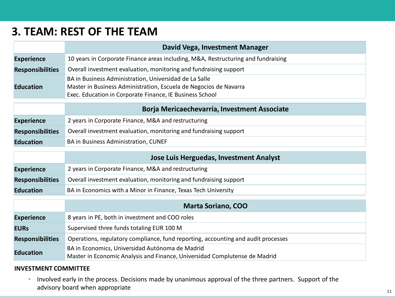### **3. TEAM: REST OF THE TEAM**

|                         | David Vega, Investment Manager                                                                                                                                                          |  |
|-------------------------|-----------------------------------------------------------------------------------------------------------------------------------------------------------------------------------------|--|
| <b>Experience</b>       | 10 years in Corporate Finance areas including, M&A, Restructuring and fundraising                                                                                                       |  |
| <b>Responsibilities</b> | Overall investment evaluation, monitoring and fundraising support                                                                                                                       |  |
| <b>Education</b>        | BA in Business Administration, Universidad de La Salle<br>Master in Business Administration, Escuela de Negocios de Navarra<br>Exec. Education in Corporate Finance, IE Business School |  |

#### **Borja Mericaechevarría, Investment Associate**

| <b>Experience</b>       | 2 years in Corporate Finance, M&A and restructuring               |
|-------------------------|-------------------------------------------------------------------|
| <b>Responsibilities</b> | Overall investment evaluation, monitoring and fundraising support |
| <b>Education</b>        | <b>BA in Business Administration, CUNEF</b>                       |

|                         | <b>Jose Luis Herguedas, Investment Analyst</b>                    |
|-------------------------|-------------------------------------------------------------------|
| <b>Experience</b>       | 2 years in Corporate Finance, M&A and restructuring               |
| <b>Responsibilities</b> | Overall investment evaluation, monitoring and fundraising support |
| <b>Education</b>        | BA in Economics with a Minor in Finance, Texas Tech University    |

|                         | <b>Marta Soriano, COO</b>                                                         |  |  |
|-------------------------|-----------------------------------------------------------------------------------|--|--|
| <b>Experience</b>       | 8 years in PE, both in investment and COO roles                                   |  |  |
| <b>EURS</b>             | Supervised three funds totaling EUR 100 M                                         |  |  |
| <b>Responsibilities</b> | Operations, regulatory compliance, fund reporting, accounting and audit processes |  |  |
| <b>Education</b>        | BA in Economics, Universidad Autónoma de Madrid                                   |  |  |
|                         | Master in Economic Analysis and Finance, Universidad Complutense de Madrid        |  |  |

#### **INVESTMENT COMMITTEE**

• Involved early in the process. Decisions made by unanimous approval of the three partners. Support of the advisory board when appropriate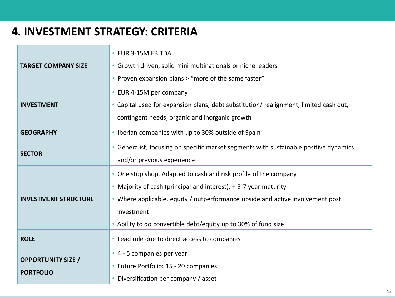## **4. INVESTMENT STRATEGY: CRITERIA**

| <b>TARGET COMPANY SIZE</b>                    | • EUR 3-15M EBITDA<br>• Growth driven, solid mini multinationals or niche leaders<br>• Proven expansion plans > "more of the same faster"                                                                                                                                                              |
|-----------------------------------------------|--------------------------------------------------------------------------------------------------------------------------------------------------------------------------------------------------------------------------------------------------------------------------------------------------------|
| <b>INVESTMENT</b>                             | • EUR 4-15M per company<br>• Capital used for expansion plans, debt substitution/ realignment, limited cash out,<br>contingent needs, organic and inorganic growth                                                                                                                                     |
| <b>GEOGRAPHY</b>                              | • Iberian companies with up to 30% outside of Spain                                                                                                                                                                                                                                                    |
| <b>SECTOR</b>                                 | • Generalist, focusing on specific market segments with sustainable positive dynamics<br>and/or previous experience                                                                                                                                                                                    |
| <b>INVESTMENT STRUCTURE</b>                   | • One stop shop. Adapted to cash and risk profile of the company<br>• Majority of cash (principal and interest). + 5-7 year maturity<br>• Where applicable, equity / outperformance upside and active involvement post<br>investment<br>• Ability to do convertible debt/equity up to 30% of fund size |
| <b>ROLE</b>                                   | • Lead role due to direct access to companies                                                                                                                                                                                                                                                          |
| <b>OPPORTUNITY SIZE /</b><br><b>PORTFOLIO</b> | • 4 - 5 companies per year<br>• Future Portfolio: 15 - 20 companies.<br>Diversification per company / asset<br>$\bullet$                                                                                                                                                                               |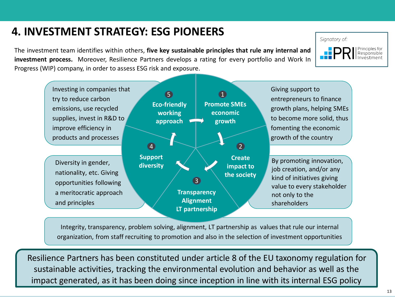## **4. INVESTMENT STRATEGY: ESG PIONEERS**

The investment team identifies within others, **five key sustainable principles that rule any internal and investment process.** Moreover, Resilience Partners develops a rating for every portfolio and Work In Progress (WIP) company, in order to assess ESG risk and exposure.



Integrity, transparency, problem solving, alignment, LT partnership as values that rule our internal organization, from staff recruiting to promotion and also in the selection of investment opportunities

Resilience Partners has been constituted under article 8 of the EU taxonomy regulation for sustainable activities, tracking the environmental evolution and behavior as well as the impact generated, as it has been doing since inception in line with its internal ESG policy

Signatory of:

Principles for<br>Responsible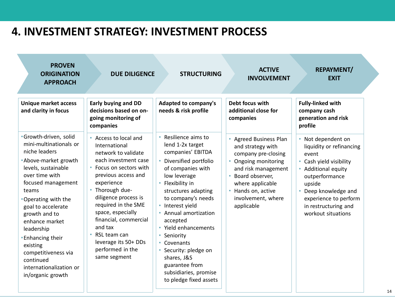### **4. INVESTMENT STRATEGY: INVESTMENT PROCESS**

| <b>PROVEN</b><br><b>ORIGINATION</b><br><b>APPROACH</b>                                                                                                                                                                                                                                                                                                                                       | <b>DUE DILIGENCE</b>                                                                                                                                                                                                                                                                                                                                   | <b>STRUCTURING</b>                                                                                                                                                                                                                                                                                                                                                                                                      | <b>ACTIVE</b><br><b>INVOLVEMENT</b>                                                                                                                                                                                                                   | <b>REPAYMENT/</b><br><b>EXIT</b>                                                                                                                                                                                                    |
|----------------------------------------------------------------------------------------------------------------------------------------------------------------------------------------------------------------------------------------------------------------------------------------------------------------------------------------------------------------------------------------------|--------------------------------------------------------------------------------------------------------------------------------------------------------------------------------------------------------------------------------------------------------------------------------------------------------------------------------------------------------|-------------------------------------------------------------------------------------------------------------------------------------------------------------------------------------------------------------------------------------------------------------------------------------------------------------------------------------------------------------------------------------------------------------------------|-------------------------------------------------------------------------------------------------------------------------------------------------------------------------------------------------------------------------------------------------------|-------------------------------------------------------------------------------------------------------------------------------------------------------------------------------------------------------------------------------------|
| <b>Unique market access</b><br>and clarity in focus                                                                                                                                                                                                                                                                                                                                          | <b>Early buying and DD</b><br>decisions based on on-<br>going monitoring of<br>companies                                                                                                                                                                                                                                                               | <b>Adapted to company's</b><br>needs & risk profile                                                                                                                                                                                                                                                                                                                                                                     | Debt focus with<br>additional close for<br>companies                                                                                                                                                                                                  | <b>Fully-linked with</b><br>company cash<br>generation and risk<br>profile                                                                                                                                                          |
| ·Growth-driven, solid<br>mini-multinationals or<br>niche leaders<br>• Above-market growth<br>levels, sustainable<br>over time with<br>focused management<br>teams<br>• Operating with the<br>goal to accelerate<br>growth and to<br>enhance market<br>leadership<br><b>• Enhancing their</b><br>existing<br>competitiveness via<br>continued<br>internationalization or<br>in/organic growth | Access to local and<br>International<br>network to validate<br>each investment case<br>Focus on sectors with<br>previous access and<br>experience<br>Thorough due-<br>diligence process is<br>required in the SME<br>space, especially<br>financial, commercial<br>and tax<br>RSL team can<br>leverage its 50+ DDs<br>performed in the<br>same segment | Resilience aims to<br>lend 1-2x target<br>companies' EBITDA<br>Diversified portfolio<br>of companies with<br>low leverage<br>Flexibility in<br>structures adapting<br>to company's needs<br>Interest yield<br>$\bullet$<br>Annual amortization<br>accepted<br>• Yield enhancements<br>Seniority<br>Covenants<br>Security: pledge on<br>shares, J&S<br>guarantee from<br>subsidiaries, promise<br>to pledge fixed assets | • Agreed Business Plan<br>and strategy with<br>company pre-closing<br>Ongoing monitoring<br>$\bullet$<br>and risk management<br>Board observer,<br>$\bullet$<br>where applicable<br>Hands on, active<br>$\bullet$<br>involvement, where<br>applicable | Not dependent on<br>liquidity or refinancing<br>event<br>Cash yield visibility<br><b>Additional equity</b><br>outperformance<br>upside<br>Deep knowledge and<br>experience to perform<br>in restructuring and<br>workout situations |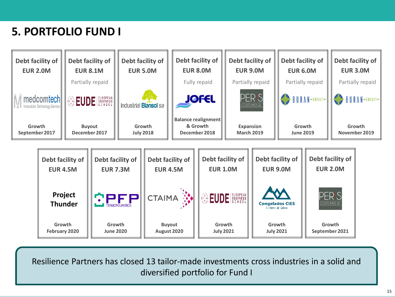# **5. PORTFOLIO FUND I**



Resilience Partners has closed 13 tailor-made investments cross industries in a solid and diversified portfolio for Fund I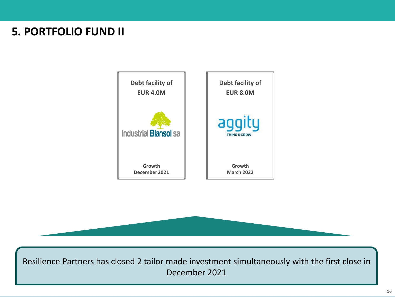## **5. PORTFOLIO FUND II**





Resilience Partners has closed 2 tailor made investment simultaneously with the first close in December 2021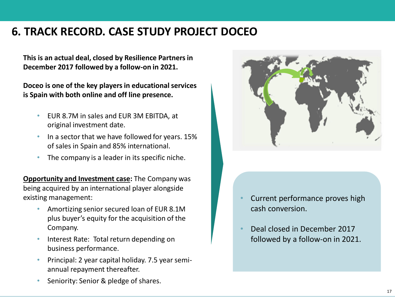## **6. TRACK RECORD. CASE STUDY PROJECT DOCEO**

**This is an actual deal, closed by Resilience Partners in December 2017 followed by a follow-on in 2021.**

**Doceo is one of the key players in educational services is Spain with both online and off line presence.**

- EUR 8.7M in sales and EUR 3M EBITDA, at original investment date.
- In a sector that we have followed for years. 15% of sales in Spain and 85% international.
- The company is a leader in its specific niche.

**Opportunity and Investment case: The Company was** being acquired by an international player alongside existing management:

- Amortizing senior secured loan of EUR 8.1M plus buyer's equity for the acquisition of the Company.
- Interest Rate: Total return depending on business performance.
- Principal: 2 year capital holiday. 7.5 year semiannual repayment thereafter.





- Current performance proves high cash conversion.
- Deal closed in December 2017 followed by a follow-on in 2021.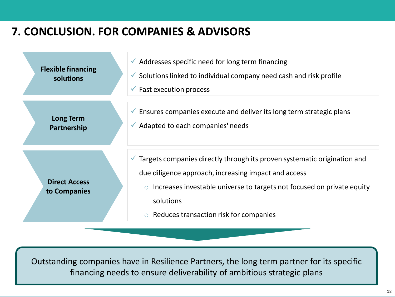## **7. CONCLUSION. FOR COMPANIES & ADVISORS**



Outstanding companies have in Resilience Partners, the long term partner for its specific financing needs to ensure deliverability of ambitious strategic plans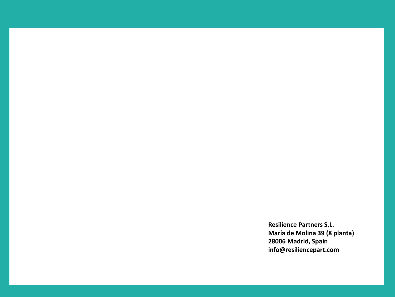**Resilience Partners S.L. María de Molina 39 (8 planta) 28006 Madrid, Spain info@resiliencepart.com**